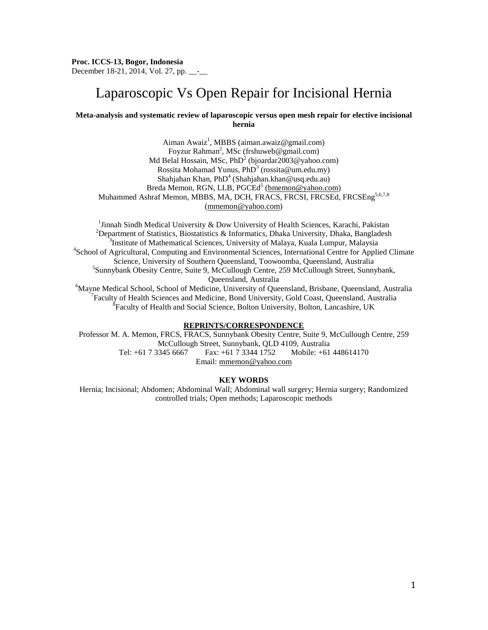# Laparoscopic Vs Open Repair for Incisional Hernia

# **Meta-analysis and systematic review of laparoscopic versus open mesh repair for elective incisional hernia**

Aiman Awaiz<sup>1</sup>, MBBS (aiman.awaiz@gmail.com) Foyzur Rahman<sup>2</sup>, MSc (frshuweb@gmail.com) Md Belal Hossain, MSc,  $PhD<sup>2</sup>$  [\(bjoardar2003@yahoo.com\)](mailto:bjoardar2003@yahoo.com) Rossita Mohamad Yunus, PhD<sup>3</sup> (rossita@um.edu.my) Shahjahan Khan, Ph $D^4$  (Shahjahan.khan@usq.edu.au) Breda Memon, RGN, LLB, PGCEd<sup>5</sup> [\(bmemon@yahoo.com\)](mailto:bmemon@yahoo.com) Muhammed Ashraf Memon, MBBS, MA, DCH, FRACS, FRCSI, FRCSEd, FRCSEng<sup>5,6,7,8</sup> [\(mmemon@yahoo.com\)](mailto:mmemon@yahoo.com)

<sup>1</sup>Jinnah Sindh Medical University & Dow University of Health Sciences, Karachi, Pakistan  $\frac{1}{2}$ Jinnah Sindh Medical University & Dow University of Health Sciences, Karachi, Pakistan  $\frac{2}{2}$ Department of Statistics, Biostatistics & Informatics, Dhaka University, Dhaka, Bangladesh <sup>3</sup> <sup>3</sup>Institute of Mathematical Sciences, University of Malaya, Kuala Lumpur, Malaysia <sup>4</sup>School of Agricultural, Computing and Environmental Sciences, International Centre for Applied Climate Science, University of Southern Queensland, Toowoomba, Queensland, Australia <sup>5</sup> <sup>5</sup>Sunnybank Obesity Centre, Suite 9, McCullough Centre, 259 McCullough Street, Sunnybank, Queensland, Australia<br><sup>6</sup>Mayre Medical School, School of Medicine, University of Que

Mayne Medical School, School of Medicine, University of Queensland, Brisbane, Queensland, Australia<br><sup>7</sup>Feaulty of Heelth Sciences and Medicine, Bond University, Gold Coast, Queensland, Australia <sup>7</sup> Faculty of Health Sciences and Medicine, Bond University, Gold Coast, Queensland, Australia  ${}^{8}$ Faculty of Health and Social Science, Bolton University, Bolton, Lancashire, UK

## **REPRINTS/CORRESPONDENCE**

Professor M. A. Memon, FRCS, FRACS, Sunnybank Obesity Centre, Suite 9, McCullough Centre, 259 McCullough Street, Sunnybank, QLD 4109, Australia Tel: +61 7 3345 6667 Fax: +61 7 3344 1752 Mobile: +61 448614170 Email: [mmemon@yahoo.com](mailto:mmemon@yahoo.com)

# **KEY WORDS**

Hernia; Incisional; Abdomen; Abdominal Wall; Abdominal wall surgery; Hernia surgery; Randomized controlled trials; Open methods; Laparoscopic methods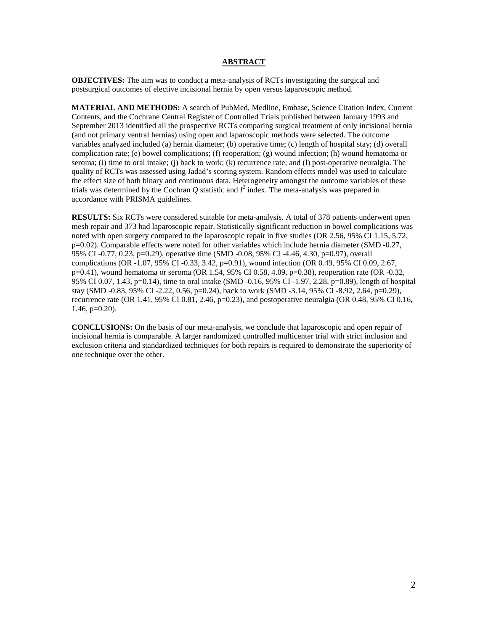### **ABSTRACT**

**OBJECTIVES:** The aim was to conduct a meta-analysis of RCTs investigating the surgical and postsurgical outcomes of elective incisional hernia by open versus laparoscopic method.

**MATERIAL AND METHODS:** A search of PubMed, Medline, Embase, Science Citation Index, Current Contents, and the Cochrane Central Register of Controlled Trials published between January 1993 and September 2013 identified all the prospective RCTs comparing surgical treatment of only incisional hernia (and not primary ventral hernias) using open and laparoscopic methods were selected. The outcome variables analyzed included (a) hernia diameter; (b) operative time; (c) length of hospital stay; (d) overall complication rate; (e) bowel complications; (f) reoperation; (g) wound infection; (h) wound hematoma or seroma; (i) time to oral intake; (j) back to work; (k) recurrence rate; and (l) post-operative neuralgia. The quality of RCTs was assessed using Jadad's scoring system. Random effects model was used to calculate the effect size of both binary and continuous data. Heterogeneity amongst the outcome variables of these trials was determined by the Cochran  $Q$  statistic and  $I^2$  index. The meta-analysis was prepared in accordance with PRISMA guidelines.

**RESULTS:** Six RCTs were considered suitable for meta-analysis. A total of 378 patients underwent open mesh repair and 373 had laparoscopic repair. Statistically significant reduction in bowel complications was noted with open surgery compared to the laparoscopic repair in five studies (OR 2.56, 95% CI 1.15, 5.72, p=0.02). Comparable effects were noted for other variables which include hernia diameter (SMD -0.27, 95% CI -0.77, 0.23, p=0.29), operative time (SMD -0.08, 95% CI -4.46, 4.30, p=0.97), overall complications (OR -1.07, 95% CI -0.33, 3.42, p=0.91), wound infection (OR 0.49, 95% CI 0.09, 2.67, p=0.41), wound hematoma or seroma (OR 1.54, 95% CI 0.58, 4.09, p=0.38), reoperation rate (OR -0.32, 95% CI 0.07, 1.43, p=0.14), time to oral intake (SMD -0.16, 95% CI -1.97, 2.28, p=0.89), length of hospital stay (SMD -0.83, 95% CI -2.22, 0.56, p=0.24), back to work (SMD -3.14, 95% CI -8.92, 2.64, p=0.29), recurrence rate (OR  $1.41$ , 95% CI 0.81, 2.46, p=0.23), and postoperative neuralgia (OR 0.48, 95% CI 0.16,  $1.46$ ,  $p=0.20$ ).

**CONCLUSIONS:** On the basis of our meta-analysis, we conclude that laparoscopic and open repair of incisional hernia is comparable. A larger randomized controlled multicenter trial with strict inclusion and exclusion criteria and standardized techniques for both repairs is required to demonstrate the superiority of one technique over the other.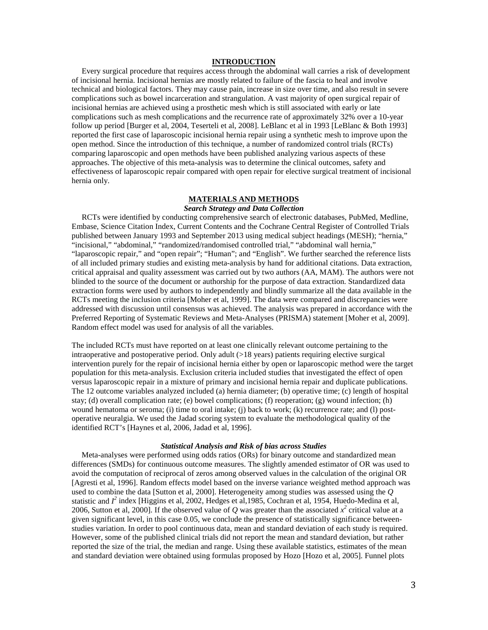## **INTRODUCTION**

 Every surgical procedure that requires access through the abdominal wall carries a risk of development of incisional hernia. Incisional hernias are mostly related to failure of the fascia to heal and involve technical and biological factors. They may cause pain, increase in size over time, and also result in severe complications such as bowel incarceration and strangulation. A vast majority of open surgical repair of incisional hernias are achieved using a prosthetic mesh which is still associated with early or late complications such as mesh complications and the recurrence rate of approximately 32% over a 10-year follow up period [Burger et al, 2004, Teserteli et al, 2008]. LeBlanc et al in 1993 [LeBlanc & Both 1993] reported the first case of laparoscopic incisional hernia repair using a synthetic mesh to improve upon the open method. Since the introduction of this technique, a number of randomized control trials (RCTs) comparing laparoscopic and open methods have been published analyzing various aspects of these approaches. The objective of this meta-analysis was to determine the clinical outcomes, safety and effectiveness of laparoscopic repair compared with open repair for elective surgical treatment of incisional hernia only.

### **MATERIALS AND METHODS**

# *Search Strategy and Data Collection*

 RCTs were identified by conducting comprehensive search of electronic databases, PubMed, Medline, Embase, Science Citation Index, Current Contents and the Cochrane Central Register of Controlled Trials published between January 1993 and September 2013 using medical subject headings (MESH); "hernia," "incisional," "abdominal," "randomized/randomised controlled trial," "abdominal wall hernia," "laparoscopic repair," and "open repair"; "Human"; and "English". We further searched the reference lists of all included primary studies and existing meta-analysis by hand for additional citations. Data extraction, critical appraisal and quality assessment was carried out by two authors (AA, MAM). The authors were not blinded to the source of the document or authorship for the purpose of data extraction. Standardized data extraction forms were used by authors to independently and blindly summarize all the data available in the RCTs meeting the inclusion criteria [Moher et al, 1999]. The data were compared and discrepancies were addressed with discussion until consensus was achieved. The analysis was prepared in accordance with the Preferred Reporting of Systematic Reviews and Meta-Analyses (PRISMA) statement [Moher et al, 2009]. Random effect model was used for analysis of all the variables.

The included RCTs must have reported on at least one clinically relevant outcome pertaining to the intraoperative and postoperative period. Only adult  $(>18$  years) patients requiring elective surgical intervention purely for the repair of incisional hernia either by open or laparoscopic method were the target population for this meta-analysis. Exclusion criteria included studies that investigated the effect of open versus laparoscopic repair in a mixture of primary and incisional hernia repair and duplicate publications. The 12 outcome variables analyzed included (a) hernia diameter; (b) operative time; (c) length of hospital stay; (d) overall complication rate; (e) bowel complications; (f) reoperation; (g) wound infection; (h) wound hematoma or seroma; (i) time to oral intake; (j) back to work; (k) recurrence rate; and (l) postoperative neuralgia. We used the Jadad scoring system to evaluate the methodological quality of the identified RCT's [Haynes et al, 2006, Jadad et al, 1996].

### *Statistical Analysis and Risk of bias across Studies*

 Meta-analyses were performed using odds ratios (ORs) for binary outcome and standardized mean differences (SMDs) for continuous outcome measures. The slightly amended estimator of OR was used to avoid the computation of reciprocal of zeros among observed values in the calculation of the original OR [Agresti et al, 1996]. Random effects model based on the inverse variance weighted method approach was used to combine the data [Sutton et al, 2000]. Heterogeneity among studies was assessed using the *Q* statistic and  $I^2$  index [Higgins et al, 2002, Hedges et al, 1985, Cochran et al, 1954, Huedo-Medina et al, 2006, Sutton et al, 2000]. If the observed value of *Q* was greater than the associated  $x^2$  critical value at a given significant level, in this case 0.05, we conclude the presence of statistically significance betweenstudies variation. In order to pool continuous data, mean and standard deviation of each study is required. However, some of the published clinical trials did not report the mean and standard deviation, but rather reported the size of the trial, the median and range. Using these available statistics, estimates of the mean and standard deviation were obtained using formulas proposed by Hozo [Hozo et al, 2005]. Funnel plots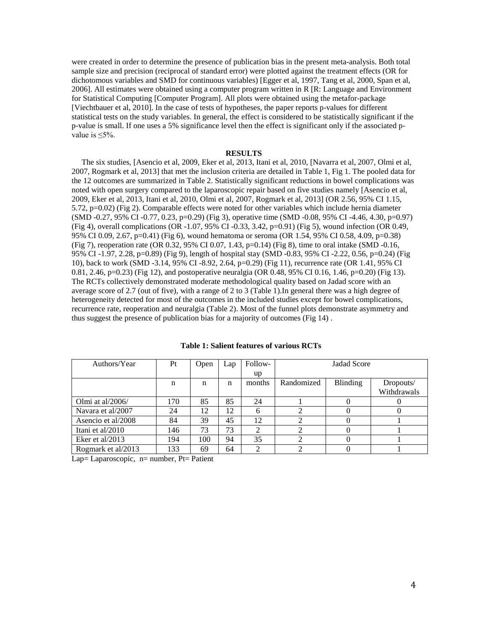were created in order to determine the presence of publication bias in the present meta-analysis. Both total sample size and precision (reciprocal of standard error) were plotted against the treatment effects (OR for dichotomous variables and SMD for continuous variables) [Egger et al, 1997, Tang et al, 2000, Span et al, 2006]. All estimates were obtained using a computer program written in R [R: Language and Environment for Statistical Computing [Computer Program]. All plots were obtained using the metafor-package [Viechtbauer et al, 2010]. In the case of tests of hypotheses, the paper reports p-values for different statistical tests on the study variables. In general, the effect is considered to be statistically significant if the p-value is small. If one uses a 5% significance level then the effect is significant only if the associated pvalue is  $\leq 5\%$ .

### **RESULTS**

 The six studies, [Asencio et al, 2009, Eker et al, 2013, Itani et al, 2010, [Navarra et al, 2007, Olmi et al, 2007, Rogmark et al, 2013] that met the inclusion criteria are detailed in Table 1, Fig 1. The pooled data for the 12 outcomes are summarized in Table 2. Statistically significant reductions in bowel complications was noted with open surgery compared to the laparoscopic repair based on five studies namely [Asencio et al, 2009, Eker et al, 2013, Itani et al, 2010, Olmi et al, 2007, Rogmark et al, 2013] (OR 2.56, 95% CI 1.15, 5.72, p=0.02) (Fig 2). Comparable effects were noted for other variables which include hernia diameter (SMD -0.27, 95% CI -0.77, 0.23, p=0.29) (Fig 3), operative time (SMD -0.08, 95% CI -4.46, 4.30, p=0.97) (Fig 4), overall complications (OR -1.07, 95% CI -0.33, 3.42, p=0.91) (Fig 5), wound infection (OR 0.49, 95% CI 0.09, 2.67, p=0.41) (Fig 6), wound hematoma or seroma (OR 1.54, 95% CI 0.58, 4.09, p=0.38) (Fig 7), reoperation rate (OR 0.32, 95% CI 0.07, 1.43, p=0.14) (Fig 8), time to oral intake (SMD -0.16, 95% CI -1.97, 2.28, p=0.89) (Fig 9), length of hospital stay (SMD -0.83, 95% CI -2.22, 0.56, p=0.24) (Fig 10), back to work (SMD -3.14, 95% CI -8.92, 2.64, p=0.29) (Fig 11), recurrence rate (OR 1.41, 95% CI 0.81, 2.46, p=0.23) (Fig 12), and postoperative neuralgia (OR 0.48, 95% CI 0.16, 1.46, p=0.20) (Fig 13). The RCTs collectively demonstrated moderate methodological quality based on Jadad score with an average score of 2.7 (out of five), with a range of 2 to 3 (Table 1).In general there was a high degree of heterogeneity detected for most of the outcomes in the included studies except for bowel complications, recurrence rate, reoperation and neuralgia (Table 2). Most of the funnel plots demonstrate asymmetry and thus suggest the presence of publication bias for a majority of outcomes (Fig 14) .

| Authors/Year       | Pt  | Open | Lap | Follow- | Jadad Score |                 |             |  |  |
|--------------------|-----|------|-----|---------|-------------|-----------------|-------------|--|--|
|                    |     |      |     | up      |             |                 |             |  |  |
|                    | n   | n    | n   | months  | Randomized  | <b>Blinding</b> | Dropouts/   |  |  |
|                    |     |      |     |         |             |                 | Withdrawals |  |  |
| Olmi at al/2006/   | 170 | 85   | 85  | 24      |             |                 |             |  |  |
| Navara et al/2007  | 24  | 12   | 12  | 6       |             |                 |             |  |  |
| Asencio et al/2008 | 84  | 39   | 45  | 12      |             |                 |             |  |  |
| Itani et al/2010   | 146 | 73   | 73  | ∍       |             |                 |             |  |  |
| Eker et al/2013    | 194 | 100  | 94  | 35      |             |                 |             |  |  |
| Rogmark et al/2013 | 133 | 69   | 64  | ↑       | ↑           |                 |             |  |  |

**Table 1: Salient features of various RCTs**

Lap= Laparoscopic, n= number, Pt= Patient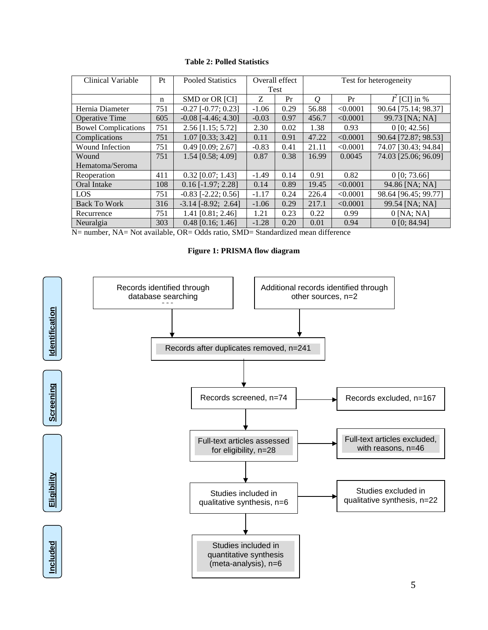# **Table 2: Polled Statistics**

| Clinical Variable          | Pt  | <b>Pooled Statistics</b>  |         | Overall effect | Test for heterogeneity |          |                      |  |
|----------------------------|-----|---------------------------|---------|----------------|------------------------|----------|----------------------|--|
|                            |     |                           |         | Test           |                        |          |                      |  |
|                            | n   | SMD or OR [CI]            | Z       | Pr             | $\varrho$              | Pr       | $I^2$ [CI] in %      |  |
| Hernia Diameter            | 751 | $-0.27$ $[-0.77; 0.23]$   | $-1.06$ | 0.29           | 56.88                  | < 0.0001 | 90.64 [75.14; 98.37] |  |
| <b>Operative Time</b>      | 605 | $-0.08$ [ $-4.46$ ; 4.30] | $-0.03$ | 0.97           | 456.7                  | < 0.0001 | 99.73 [NA; NA]       |  |
| <b>Bowel Complications</b> | 751 | 2.56 [1.15; 5.72]         | 2.30    | 0.02           | 1.38                   | 0.93     | 0 [0; 42.56]         |  |
| Complications              | 751 | 1.07 [0.33; 3.42]         | 0.11    | 0.91           | 47.22                  | < 0.0001 | 90.64 [72.87; 98.53] |  |
| Wound Infection            | 751 | $0.49$ [0.09; 2.67]       | $-0.83$ | 0.41           | 21.11                  | < 0.0001 | 74.07 [30.43; 94.84] |  |
| Wound                      | 751 | 1.54 [0.58; 4.09]         | 0.87    | 0.38           | 16.99                  | 0.0045   | 74.03 [25.06; 96.09] |  |
| Hematoma/Seroma            |     |                           |         |                |                        |          |                      |  |
| Reoperation                | 411 | $0.32$ [0.07; 1.43]       | $-1.49$ | 0.14           | 0.91                   | 0.82     | 0 [0; 73.66]         |  |
| Oral Intake                | 108 | $0.16$ [-1.97; 2.28]      | 0.14    | 0.89           | 19.45                  | < 0.0001 | 94.86 [NA; NA]       |  |
| <b>LOS</b>                 | 751 | $-0.83$ [ $-2.22$ ; 0.56] | $-1.17$ | 0.24           | 226.4                  | < 0.0001 | 98.64 [96.45; 99.77] |  |
| <b>Back To Work</b>        | 316 | $-3.14$ $[-8.92; 2.64]$   | $-1.06$ | 0.29           | 217.1                  | < 0.0001 | 99.54 [NA; NA]       |  |
| Recurrence                 | 751 | 1.41 [0.81; 2.46]         | 1.21    | 0.23           | 0.22                   | 0.99     | $0$ [NA; NA]         |  |
| Neuralgia                  | 303 | $0.48$ [0.16; 1.46]       | $-1.28$ | 0.20           | 0.01                   | 0.94     | $0$ [0: 84.94]       |  |

N= number, NA= Not available, OR= Odds ratio, SMD= Standardized mean difference

**Figure 1: PRISMA flow diagram**

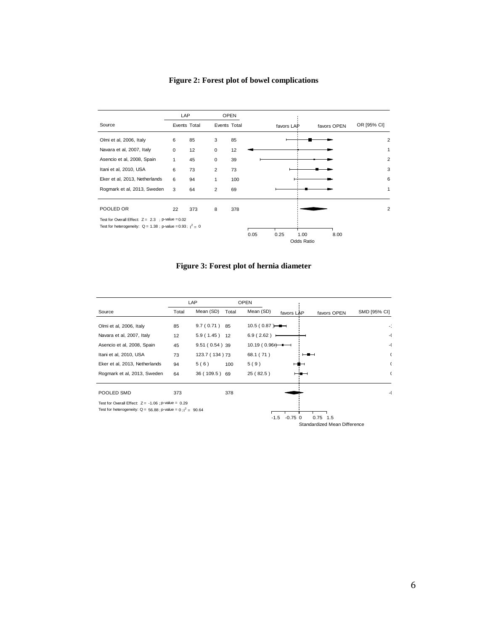# **Figure 2: Forest plot of bowel complications**



**Figure 3: Forest plot of hernia diameter**

|                                                                 | LAP   |                 | <b>OPEN</b> |               |            |                              |              |
|-----------------------------------------------------------------|-------|-----------------|-------------|---------------|------------|------------------------------|--------------|
| Source                                                          | Total | Mean (SD)       | Total       | Mean (SD)     | favors LAP | favors OPEN                  | SMD [95% CI] |
| Olmi et al, 2006, Italy                                         | 85    | 9.7(0.71)       | 85          | 10.5(0.87)    |            |                              |              |
| Navara et al, 2007, Italy                                       | 12    | $5.9(1.45)$ 12  |             | $6.9(2.62)$ + |            |                              | -(           |
| Asencio et al, 2008, Spain                                      | 45    | $9.51(0.54)$ 39 |             | 10.19(0.96)   |            |                              | -(           |
| Itani et al, 2010, USA                                          | 73    | 123.7 (134) 73  |             | 68.1 (71)     |            |                              |              |
| Eker et al, 2013, Netherlands                                   | 94    | 5(6)            | 100         | 5(9)          |            |                              |              |
| Rogmark et al, 2013, Sweden                                     | 64    | 36 (109.5) 69   |             | 25 (82.5)     |            |                              |              |
| POOLED SMD                                                      | 373   |                 | 378         |               |            |                              | -(           |
| Test for Overall Effect: $Z = -1.06$ ; p-value = 0.29           |       |                 |             |               |            |                              |              |
| Test for heterogeneity: $Q = 56.88 : p-value = 0 : i^2 = 90.64$ |       |                 |             |               |            |                              |              |
|                                                                 |       |                 |             | $-1.5$        | $-0.75$ 0  | $0.75$ 1.5                   |              |
|                                                                 |       |                 |             |               |            | Standardized Mean Difference |              |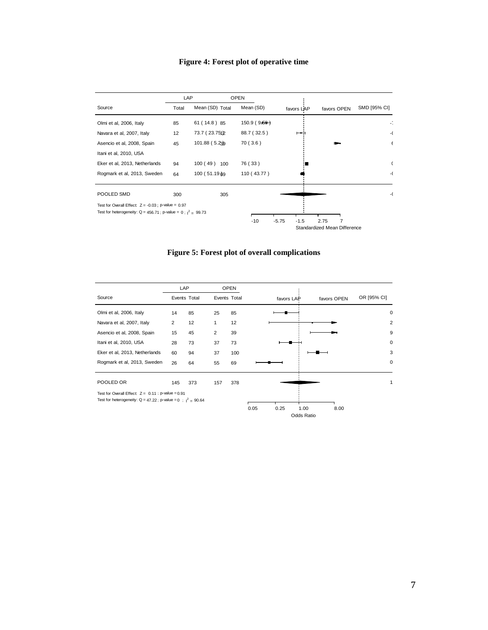# **Figure 4: Forest plot of operative time**

| LAP                                                     |                 |                                                                   |                      |                   |                                      |
|---------------------------------------------------------|-----------------|-------------------------------------------------------------------|----------------------|-------------------|--------------------------------------|
| Total                                                   | Mean (SD) Total | Mean (SD)                                                         | favors LAP           | favors OPEN       | SMD [95% CI]                         |
| 85                                                      | 61 (14.8) 85    | 150.9(9.59)                                                       |                      |                   |                                      |
| 12                                                      | 73.7 (23.751)2  | 88.7 (32.5)                                                       |                      |                   | -(                                   |
| 45                                                      | 101.88 (5.23)   | 70 (3.6)                                                          |                      |                   |                                      |
|                                                         |                 |                                                                   |                      |                   |                                      |
| 94                                                      | $100(49)$ 100   | 76 (33)                                                           |                      |                   |                                      |
| 64                                                      | 100 (51.19 & 9) | 110 (43.77)                                                       |                      |                   | -(                                   |
| 300                                                     | 305             |                                                                   |                      |                   |                                      |
| Test for Overall Effect: $Z = -0.03$ ; p-value = $0.97$ |                 |                                                                   |                      |                   |                                      |
|                                                         |                 |                                                                   |                      |                   |                                      |
|                                                         |                 |                                                                   |                      |                   |                                      |
|                                                         |                 | Test for heterogeneity: $Q = 456.71$ ; p-value = 0; $1^2 = 99.73$ | <b>OPEN</b><br>$-10$ | $-5.75$<br>$-1.5$ | 2.75<br>Standardized Mean Difference |

**Figure 5: Forest plot of overall complications**

|                                                                  | LAP          |     |              | <b>OPEN</b> |      |            |                    |             |                |
|------------------------------------------------------------------|--------------|-----|--------------|-------------|------|------------|--------------------|-------------|----------------|
| Source                                                           | Events Total |     | Events Total |             |      | favors LAP |                    | favors OPEN | OR [95% CI]    |
| Olmi et al, 2006, Italy                                          | 14           | 85  | 25           | 85          |      |            |                    |             | 0              |
| Navara et al, 2007, Italy                                        | 2            | 12  | $\mathbf{1}$ | 12          |      |            |                    |             | $\overline{2}$ |
| Asencio et al, 2008, Spain                                       | 15           | 45  | 2            | 39          |      |            |                    |             | 9              |
| Itani et al, 2010, USA                                           | 28           | 73  | 37           | 73          |      |            |                    |             | 0              |
| Eker et al, 2013, Netherlands                                    | 60           | 94  | 37           | 100         |      |            |                    |             | 3              |
| Rogmark et al, 2013, Sweden                                      | 26           | 64  | 55           | 69          |      |            |                    |             | 0              |
| POOLED OR                                                        | 145          | 373 | 157          | 378         |      |            |                    |             |                |
| Test for Overall Effect: $Z = 0.11$ : p-value = 0.91             |              |     |              |             |      |            |                    |             |                |
| Test for heterogeneity: $Q = 47.22$ ; p-value = 0; $1^2 = 90.64$ |              |     |              |             | 0.05 | 0.25       | 1.00<br>Odds Ratio | 8.00        |                |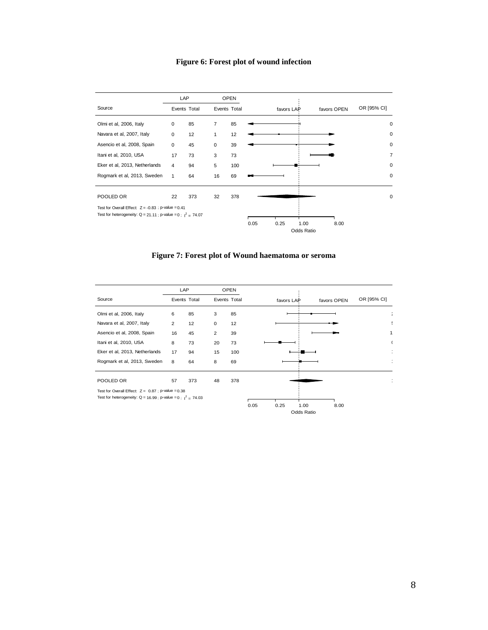# **Figure 6: Forest plot of wound infection**



**Figure 7: Forest plot of Wound haematoma or seroma**

|                                                                  | LAP          |     |              | <b>OPEN</b> |      |            |                    |             |             |
|------------------------------------------------------------------|--------------|-----|--------------|-------------|------|------------|--------------------|-------------|-------------|
| Source                                                           | Events Total |     | Events Total |             |      | favors LAP |                    | favors OPEN | OR [95% CI] |
| Olmi et al, 2006, Italy                                          | 6            | 85  | 3            | 85          |      |            |                    |             |             |
| Navara et al, 2007, Italy                                        | 2            | 12  | $\mathbf 0$  | 12          |      |            |                    |             |             |
| Asencio et al, 2008, Spain                                       | 16           | 45  | 2            | 39          |      |            |                    |             |             |
| Itani et al, 2010, USA                                           | 8            | 73  | 20           | 73          |      |            |                    |             |             |
| Eker et al, 2013, Netherlands                                    | 17           | 94  | 15           | 100         |      |            |                    |             |             |
| Rogmark et al, 2013, Sweden                                      | 8            | 64  | 8            | 69          |      |            |                    |             |             |
| POOLED OR                                                        | 57           | 373 | 48           | 378         |      |            |                    |             |             |
| Test for Overall Effect: $Z = 0.87$ ; p-value = 0.38             |              |     |              |             |      |            |                    |             |             |
| Test for heterogeneity: $Q = 16.99$ ; p-value = 0; $1^2 = 74.03$ |              |     |              |             | 0.05 | 0.25       | 1.00<br>Odds Ratio | 8.00        |             |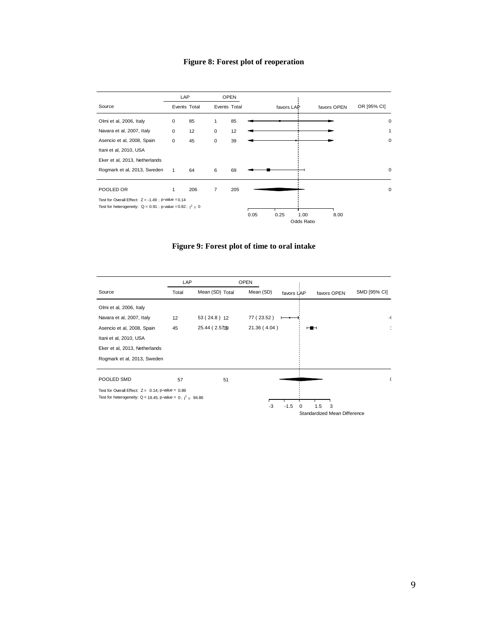# **Figure 8: Forest plot of reoperation**



**Figure 9: Forest plot of time to oral intake**

|                                                                  | LAP   |                 | <b>OPEN</b>  |                                |              |
|------------------------------------------------------------------|-------|-----------------|--------------|--------------------------------|--------------|
| Source                                                           | Total | Mean (SD) Total | Mean (SD)    | favors LAP<br>favors OPEN      | SMD [95% CI] |
| Olmi et al, 2006, Italy                                          |       |                 |              |                                |              |
| Navara et al, 2007, Italy                                        | 12    | 53 (24.8) 12    | 77 (23.52)   |                                | -(           |
| Asencio et al, 2008, Spain                                       | 45    | 25.44 (2.5739)  | 21.36 (4.04) | $\overline{\phantom{a}}$       |              |
| Itani et al, 2010, USA                                           |       |                 |              |                                |              |
| Eker et al, 2013, Netherlands                                    |       |                 |              |                                |              |
| Rogmark et al, 2013, Sweden                                      |       |                 |              |                                |              |
|                                                                  |       |                 |              |                                |              |
| POOLED SMD                                                       | 57    | 51              |              |                                |              |
| Test for Overall Effect: $Z = 0.14$ ; p-value = 0.89             |       |                 |              |                                |              |
| Test for heterogeneity: $Q = 19.45$ ; p-value = 0; $1^2 = 94.86$ |       |                 |              |                                |              |
|                                                                  |       |                 | $-3$         | $-1.5$<br>1.5<br>$\Omega$<br>3 |              |
|                                                                  |       |                 |              | Standardized Mean Difference   |              |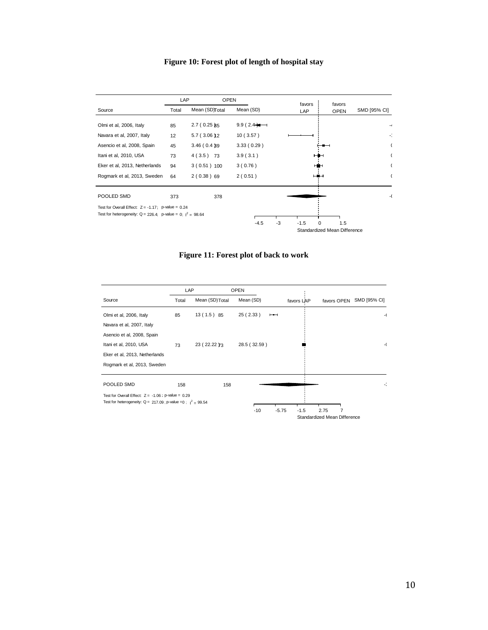# **Figure 10: Forest plot of length of hospital stay**



**Figure 11: Forest plot of back to work**

|                                                                  |       | LAP             | <b>OPEN</b>  |                          |            |                              |              |
|------------------------------------------------------------------|-------|-----------------|--------------|--------------------------|------------|------------------------------|--------------|
| Source                                                           | Total | Mean (SD) Total | Mean (SD)    |                          | favors LAP | favors OPEN                  | SMD [95% CI] |
| Olmi et al, 2006, Italy                                          | 85    | 13(1.5)85       | 25(2.33)     | $\overline{\phantom{0}}$ |            |                              | -6           |
| Navara et al, 2007, Italy                                        |       |                 |              |                          |            |                              |              |
| Asencio et al, 2008, Spain                                       |       |                 |              |                          |            |                              |              |
| Itani et al, 2010, USA                                           | 73    | 23 (22.22 73    | 28.5 (32.59) |                          |            |                              | -(           |
| Eker et al, 2013, Netherlands                                    |       |                 |              |                          |            |                              |              |
| Rogmark et al, 2013, Sweden                                      |       |                 |              |                          |            |                              |              |
| POOLED SMD                                                       | 158   | 158             |              |                          |            |                              | K            |
| Test for Overall Effect: $Z = -1.06$ ; p-value = 0.29            |       |                 |              |                          |            |                              |              |
| Test for heterogeneity: $Q = 217.09$ ; p-value =0; $I^2 = 99.54$ |       |                 |              |                          |            |                              |              |
|                                                                  |       |                 | $-10$        | $-5.75$                  | $-1.5$     | 2.75                         |              |
|                                                                  |       |                 |              |                          |            | Standardized Mean Difference |              |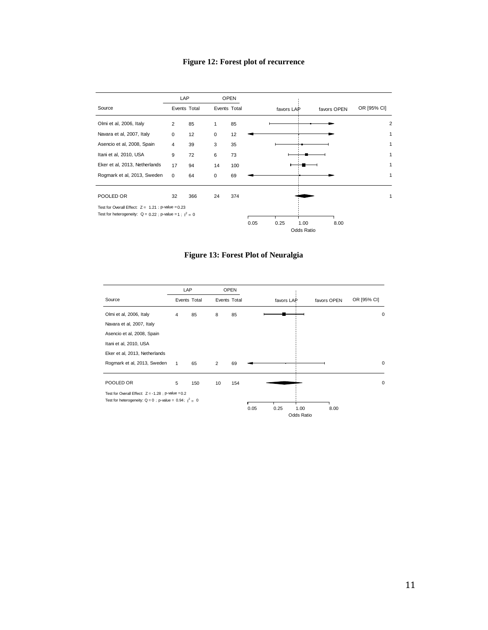# **Figure 12: Forest plot of recurrence**



**Figure 13: Forest Plot of Neuralgia**

|                                                             | LAP            |     |                | <b>OPEN</b> |      |            |                    |             |             |   |
|-------------------------------------------------------------|----------------|-----|----------------|-------------|------|------------|--------------------|-------------|-------------|---|
| Source                                                      | Events Total   |     | Events Total   |             |      | favors LAP |                    | favors OPEN | OR [95% CI] |   |
| Olmi et al, 2006, Italy                                     | $\overline{4}$ | 85  | 8              | 85          |      |            |                    |             |             | 0 |
| Navara et al, 2007, Italy                                   |                |     |                |             |      |            |                    |             |             |   |
| Asencio et al, 2008, Spain                                  |                |     |                |             |      |            |                    |             |             |   |
| Itani et al, 2010, USA                                      |                |     |                |             |      |            |                    |             |             |   |
| Eker et al, 2013, Netherlands                               |                |     |                |             |      |            |                    |             |             |   |
| Rogmark et al, 2013, Sweden                                 | $\mathbf{1}$   | 65  | $\overline{2}$ | 69          |      |            |                    |             |             | 0 |
| POOLED OR                                                   | 5              | 150 | 10             | 154         |      |            |                    |             |             | 0 |
| Test for Overall Effect: $Z = -1.28$ : p-value = 0.2        |                |     |                |             |      |            |                    |             |             |   |
| Test for heterogeneity: $Q = 0$ ; p-value = 0.94; $1^2 = 0$ |                |     |                |             | 0.05 |            |                    |             |             |   |
|                                                             |                |     |                |             |      | 0.25       | 1.00<br>Odds Ratio | 8.00        |             |   |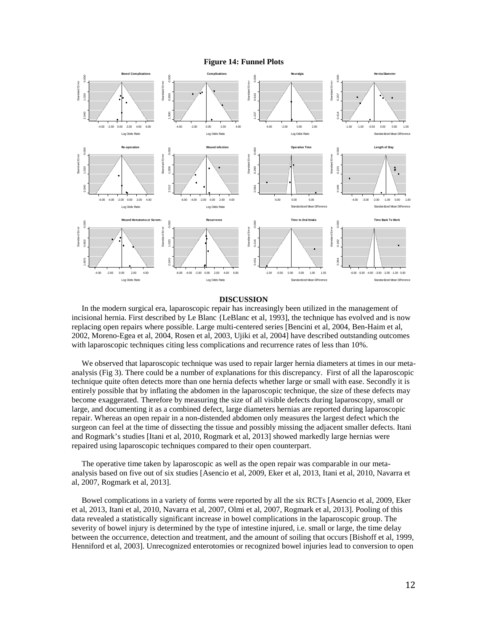### **Figure 14: Funnel Plots**



#### **DISCUSSION**

 In the modern surgical era, laparoscopic repair has increasingly been utilized in the management of incisional hernia. First described by Le Blanc {LeBlanc et al, 1993], the technique has evolved and is now replacing open repairs where possible. Large multi-centered series [Bencini et al, 2004, Ben-Haim et al, 2002, Moreno-Egea et al, 2004, Rosen et al, 2003, Ujiki et al, 2004] have described outstanding outcomes with laparoscopic techniques citing less complications and recurrence rates of less than 10%.

 We observed that laparoscopic technique was used to repair larger hernia diameters at times in our metaanalysis (Fig 3). There could be a number of explanations for this discrepancy. First of all the laparoscopic technique quite often detects more than one hernia defects whether large or small with ease. Secondly it is entirely possible that by inflating the abdomen in the laparoscopic technique, the size of these defects may become exaggerated. Therefore by measuring the size of all visible defects during laparoscopy, small or large, and documenting it as a combined defect, large diameters hernias are reported during laparoscopic repair. Whereas an open repair in a non-distended abdomen only measures the largest defect which the surgeon can feel at the time of dissecting the tissue and possibly missing the adjacent smaller defects. Itani and Rogmark's studies [Itani et al, 2010, Rogmark et al, 2013] showed markedly large hernias were repaired using laparoscopic techniques compared to their open counterpart.

 The operative time taken by laparoscopic as well as the open repair was comparable in our metaanalysis based on five out of six studies [Asencio et al, 2009, Eker et al, 2013, Itani et al, 2010, Navarra et al, 2007, Rogmark et al, 2013].

 Bowel complications in a variety of forms were reported by all the six RCTs [Asencio et al, 2009, Eker et al, 2013, Itani et al, 2010, Navarra et al, 2007, Olmi et al, 2007, Rogmark et al, 2013]. Pooling of this data revealed a statistically significant increase in bowel complications in the laparoscopic group. The severity of bowel injury is determined by the type of intestine injured, i.e. small or large, the time delay between the occurrence, detection and treatment, and the amount of soiling that occurs [Bishoff et al, 1999, Henniford et al, 2003]. Unrecognized enterotomies or recognized bowel injuries lead to conversion to open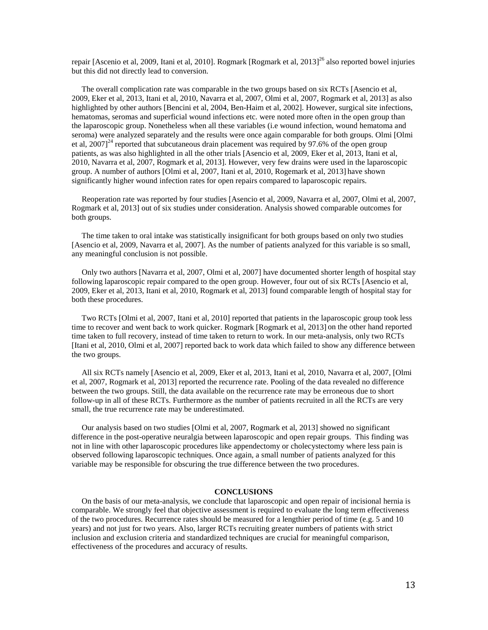repair [Ascenio et al, 2009, Itani et al, 2010]. Rogmark [Rogmark et al,  $2013]^{26}$  also reported bowel injuries but this did not directly lead to conversion.

 The overall complication rate was comparable in the two groups based on six RCTs [Asencio et al, 2009, Eker et al, 2013, Itani et al, 2010, Navarra et al, 2007, Olmi et al, 2007, Rogmark et al, 2013] as also highlighted by other authors [Bencini et al, 2004, Ben-Haim et al, 2002]. However, surgical site infections, hematomas, seromas and superficial wound infections etc. were noted more often in the open group than the laparoscopic group. Nonetheless when all these variables (i.e wound infection, wound hematoma and seroma) were analyzed separately and the results were once again comparable for both groups. Olmi [Olmi et al,  $2007$ <sup>24</sup> reported that subcutaneous drain placement was required by 97.6% of the open group patients, as was also highlighted in all the other trials [Asencio et al, 2009, Eker et al, 2013, Itani et al, 2010, Navarra et al, 2007, Rogmark et al, 2013]. However, very few drains were used in the laparoscopic group. A number of authors [Olmi et al, 2007, Itani et al, 2010, Rogemark et al, 2013] have shown significantly higher wound infection rates for open repairs compared to laparoscopic repairs.

 Reoperation rate was reported by four studies [Asencio et al, 2009, Navarra et al, 2007, Olmi et al, 2007, Rogmark et al, 2013] out of six studies under consideration. Analysis showed comparable outcomes for both groups.

 The time taken to oral intake was statistically insignificant for both groups based on only two studies [Asencio et al, 2009, Navarra et al, 2007]. As the number of patients analyzed for this variable is so small, any meaningful conclusion is not possible.

 Only two authors [Navarra et al, 2007, Olmi et al, 2007] have documented shorter length of hospital stay following laparoscopic repair compared to the open group. However, four out of six RCTs [Asencio et al, 2009, Eker et al, 2013, Itani et al, 2010, Rogmark et al, 2013] found comparable length of hospital stay for both these procedures.

 Two RCTs [Olmi et al, 2007, Itani et al, 2010] reported that patients in the laparoscopic group took less time to recover and went back to work quicker. Rogmark [Rogmark et al, 2013] on the other hand reported time taken to full recovery, instead of time taken to return to work. In our meta-analysis, only two RCTs [Itani et al, 2010, Olmi et al, 2007] reported back to work data which failed to show any difference between the two groups.

 All six RCTs namely [Asencio et al, 2009, Eker et al, 2013, Itani et al, 2010, Navarra et al, 2007, [Olmi et al, 2007, Rogmark et al, 2013] reported the recurrence rate. Pooling of the data revealed no difference between the two groups. Still, the data available on the recurrence rate may be erroneous due to short follow-up in all of these RCTs. Furthermore as the number of patients recruited in all the RCTs are very small, the true recurrence rate may be underestimated.

 Our analysis based on two studies [Olmi et al, 2007, Rogmark et al, 2013] showed no significant difference in the post-operative neuralgia between laparoscopic and open repair groups. This finding was not in line with other laparoscopic procedures like appendectomy or cholecystectomy where less pain is observed following laparoscopic techniques. Once again, a small number of patients analyzed for this variable may be responsible for obscuring the true difference between the two procedures.

### **CONCLUSIONS**

 On the basis of our meta-analysis, we conclude that laparoscopic and open repair of incisional hernia is comparable. We strongly feel that objective assessment is required to evaluate the long term effectiveness of the two procedures. Recurrence rates should be measured for a lengthier period of time (e.g. 5 and 10 years) and not just for two years. Also, larger RCTs recruiting greater numbers of patients with strict inclusion and exclusion criteria and standardized techniques are crucial for meaningful comparison, effectiveness of the procedures and accuracy of results.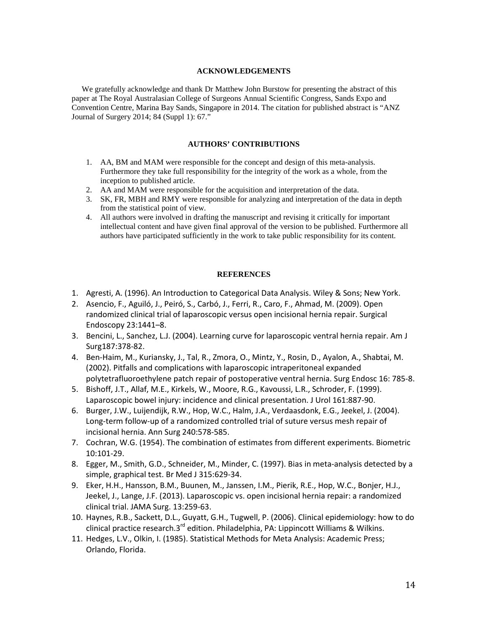### **ACKNOWLEDGEMENTS**

 We gratefully acknowledge and thank Dr Matthew John Burstow for presenting the abstract of this paper at The Royal Australasian College of Surgeons Annual Scientific Congress, Sands Expo and Convention Centre, Marina Bay Sands, Singapore in 2014. The citation for published abstract is "ANZ Journal of Surgery 2014; 84 (Suppl 1): 67."

# **AUTHORS' CONTRIBUTIONS**

- 1. AA, BM and MAM were responsible for the concept and design of this meta-analysis. Furthermore they take full responsibility for the integrity of the work as a whole, from the inception to published article.
- 2. AA and MAM were responsible for the acquisition and interpretation of the data.
- 3. SK, FR, MBH and RMY were responsible for analyzing and interpretation of the data in depth from the statistical point of view.
- 4. All authors were involved in drafting the manuscript and revising it critically for important intellectual content and have given final approval of the version to be published. Furthermore all authors have participated sufficiently in the work to take public responsibility for its content.

#### **REFERENCES**

- 1. Agresti, A. (1996). An Introduction to Categorical Data Analysis. Wiley & Sons; New York.
- 2. Asencio, F., Aguiló, J., Peiró, S., Carbó, J., Ferri, R., Caro, F., Ahmad, M. (2009). Open randomized clinical trial of laparoscopic versus open incisional hernia repair. Surgical Endoscopy 23:1441–8.
- 3. Bencini, L., Sanchez, L.J. (2004). Learning curve for laparoscopic ventral hernia repair. Am J Surg187:378-82.
- 4. Ben-Haim, M., Kuriansky, J., Tal, R., Zmora, O., Mintz, Y., Rosin, D., Ayalon, A., Shabtai, M. (2002). Pitfalls and complications with laparoscopic intraperitoneal expanded polytetrafluoroethylene patch repair of postoperative ventral hernia. Surg Endosc 16: 785-8.
- 5. [Bishoff,](http://www.ncbi.nlm.nih.gov/pubmed?term=Bishoff%20JT%5BAuthor%5D&cauthor=true&cauthor_uid=10022706) J.T., [Allaf,](http://www.ncbi.nlm.nih.gov/pubmed?term=Allaf%20ME%5BAuthor%5D&cauthor=true&cauthor_uid=10022706) M.E., [Kirkels,](http://www.ncbi.nlm.nih.gov/pubmed?term=Kirkels%20W%5BAuthor%5D&cauthor=true&cauthor_uid=10022706) W., [Moore,](http://www.ncbi.nlm.nih.gov/pubmed?term=Moore%20RG%5BAuthor%5D&cauthor=true&cauthor_uid=10022706) R.G.[, Kavoussi,](http://www.ncbi.nlm.nih.gov/pubmed?term=Kavoussi%20LR%5BAuthor%5D&cauthor=true&cauthor_uid=10022706) L.R.[, Schroder,](http://www.ncbi.nlm.nih.gov/pubmed?term=Schroder%20F%5BAuthor%5D&cauthor=true&cauthor_uid=10022706) F. (1999). Laparoscopic bowel injury: incidence and clinical presentation. J Urol 161:887-90.
- 6. Burger, J.W., Luijendijk, R.W., Hop, W.C., Halm, J.A., Verdaasdonk, E.G., Jeekel, J. (2004). Long-term follow-up of a randomized controlled trial of suture versus mesh repair of incisional hernia. Ann Surg 240:578-585.
- 7. Cochran, W.G. (1954). The combination of estimates from different experiments. Biometric 10:101-29.
- 8. Egger, M., Smith, G.D., Schneider, M., Minder, C. (1997). Bias in meta-analysis detected by a simple, graphical test. Br Med J 315:629-34.
- 9. Eker, H.H., Hansson, B.M., Buunen, M., Janssen, I.M., Pierik, R.E., Hop, W.C., Bonjer, H.J., Jeekel, J., Lange, J.F. (2013). Laparoscopic vs. open incisional hernia repair: a randomized clinical trial. JAMA Surg. 13:259-63.
- 10. Haynes, R.B., Sackett, D.L., Guyatt, G.H., Tugwell, P. (2006). [Clinical epidemiology:](http://books.google.com/?id=cuvY6TItIwgC&pg=PA31) how to do clinical practice research.3 $^{rd}$  edition. Philadelphia, PA: Lippincott Williams & Wilkins.
- 11. Hedges, L.V., Olkin, I. (1985). Statistical Methods for Meta Analysis: Academic Press; Orlando, Florida.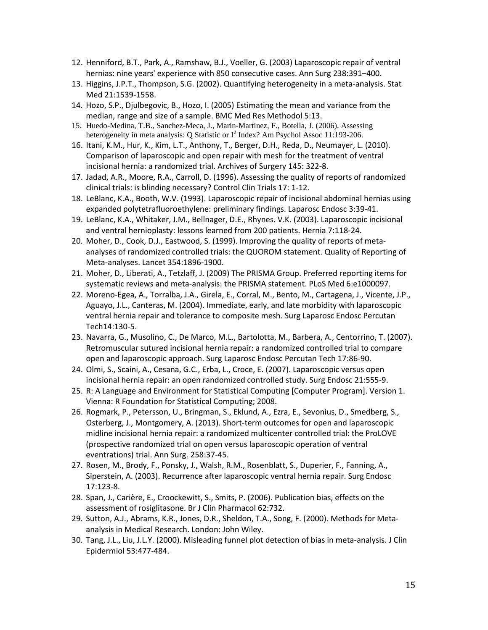- 12. Henniford, B.T., Park, A., Ramshaw, B.J., Voeller, G. (2003) Laparoscopic repair of ventral hernias: nine years' experience with 850 consecutive cases. Ann Surg 238:391–400.
- 13. Higgins, J.P.T., Thompson, S.G. (2002). Quantifying heterogeneity in a meta-analysis. Stat Med 21:1539-1558.
- 14. Hozo, S.P., Djulbegovic, B., Hozo, I. (2005) Estimating the mean and variance from the median, range and size of a sample. BMC Med Res Methodol 5:13.
- 15. Huedo-Medina, T.B., Sanchez-Meca, J., Marin-Martinez, F., Botella, J. (2006). Assessing heterogeneity in meta analysis: Q Statistic or  $I^2$  Index? Am Psychol Assoc 11:193-206.
- 16. Itani, K.M., Hur, K., Kim, L.T., Anthony, T., Berger, D.H., Reda, D., Neumayer, L. (2010). Comparison of laparoscopic and open repair with mesh for the treatment of ventral incisional hernia: a randomized trial. Archives of Surgery 145: 322-8.
- 17. Jadad, A.R., Moore, R.A., Carroll, D. (1996). Assessing the quality of reports of randomized clinical trials: is blinding necessary? Control Clin Trials 17: 1-12.
- 18. LeBlanc, K.A., Booth, W.V. (1993). Laparoscopic repair of incisional abdominal hernias using expanded polytetrafluoroethylene: preliminary findings. Laparosc Endosc 3:39-41.
- 19. LeBlanc, K.A., Whitaker, J.M., Bellnager, D.E., Rhynes. V.K. (2003). Laparoscopic incisional and ventral hernioplasty: lessons learned from 200 patients. Hernia 7:118-24.
- 20. Moher, D., Cook, D.J., Eastwood, S. (1999). Improving the quality of reports of metaanalyses of randomized controlled trials: the QUOROM statement. Quality of Reporting of Meta-analyses. Lancet 354:1896-1900.
- 21. Moher, D., Liberati, A., Tetzlaff, J. (2009) The PRISMA Group. Preferred reporting items for systematic reviews and meta-analysis: the PRISMA statement. PLoS Med 6:e1000097.
- 22. Moreno-Egea, A., Torralba, J.A., Girela, E., Corral, M., Bento, M., Cartagena, J., Vicente, J.P., Aguayo, J.L., Canteras, M. (2004). Immediate, early, and late morbidity with laparoscopic ventral hernia repair and tolerance to composite mesh. Surg Laparosc Endosc Percutan Tech14:130-5.
- 23. Navarra, G., Musolino, C., De Marco, M.L., Bartolotta, M., Barbera, A., Centorrino, T. (2007). Retromuscular sutured incisional hernia repair: a randomized controlled trial to compare open and laparoscopic approach. Surg Laparosc Endosc Percutan Tech 17:86-90.
- 24. Olmi, S., Scaini, A., Cesana, G.C., Erba, L., Croce, E. (2007). Laparoscopic versus open incisional hernia repair: an open randomized controlled study. Surg Endosc 21:555-9.
- 25. R: A Language and Environment for Statistical Computing [Computer Program]. Version 1. Vienna: R Foundation for Statistical Computing; 2008.
- 26. [Rogmark,](http://www.ncbi.nlm.nih.gov/pubmed?term=Rogmark%20P%5BAuthor%5D&cauthor=true&cauthor_uid=23629524) P., [Petersson,](http://www.ncbi.nlm.nih.gov/pubmed?term=Petersson%20U%5BAuthor%5D&cauthor=true&cauthor_uid=23629524) U.[, Bringman,](http://www.ncbi.nlm.nih.gov/pubmed?term=Bringman%20S%5BAuthor%5D&cauthor=true&cauthor_uid=23629524) S., [Eklund,](http://www.ncbi.nlm.nih.gov/pubmed?term=Eklund%20A%5BAuthor%5D&cauthor=true&cauthor_uid=23629524) A.[, Ezra,](http://www.ncbi.nlm.nih.gov/pubmed?term=Ezra%20E%5BAuthor%5D&cauthor=true&cauthor_uid=23629524) E., [Sevonius,](http://www.ncbi.nlm.nih.gov/pubmed?term=Sevonius%20D%5BAuthor%5D&cauthor=true&cauthor_uid=23629524) D., [Smedberg,](http://www.ncbi.nlm.nih.gov/pubmed?term=Smedberg%20S%5BAuthor%5D&cauthor=true&cauthor_uid=23629524) S., [Osterberg,](http://www.ncbi.nlm.nih.gov/pubmed?term=Osterberg%20J%5BAuthor%5D&cauthor=true&cauthor_uid=23629524) J.[, Montgomery,](http://www.ncbi.nlm.nih.gov/pubmed?term=Montgomery%20A%5BAuthor%5D&cauthor=true&cauthor_uid=23629524) A. (2013). Short-term outcomes for open and laparoscopic midline incisional hernia repair: a randomized multicenter controlled trial: the ProLOVE (prospective randomized trial on open versus laparoscopic operation of ventral eventrations) trial. Ann Surg. 258:37-45.
- 27. Rosen, M., Brody, F., Ponsky, J., Walsh, R.M., Rosenblatt, S., Duperier, F., Fanning, A., Siperstein, A. (2003). Recurrence after laparoscopic ventral hernia repair. Surg Endosc 17:123-8.
- 28. Span, J., Carière, E., Croockewitt, S., Smits, P. (2006). Publication bias, effects on the assessment of rosiglitasone. Br J Clin Pharmacol 62:732.
- 29. Sutton, A.J., Abrams, K.R., Jones, D.R., Sheldon, T.A., Song, F. (2000). Methods for Metaanalysis in Medical Research. London: John Wiley.
- 30. Tang, J.L., Liu, J.L.Y. (2000). Misleading funnel plot detection of bias in meta-analysis. J Clin Epidermiol 53:477-484.